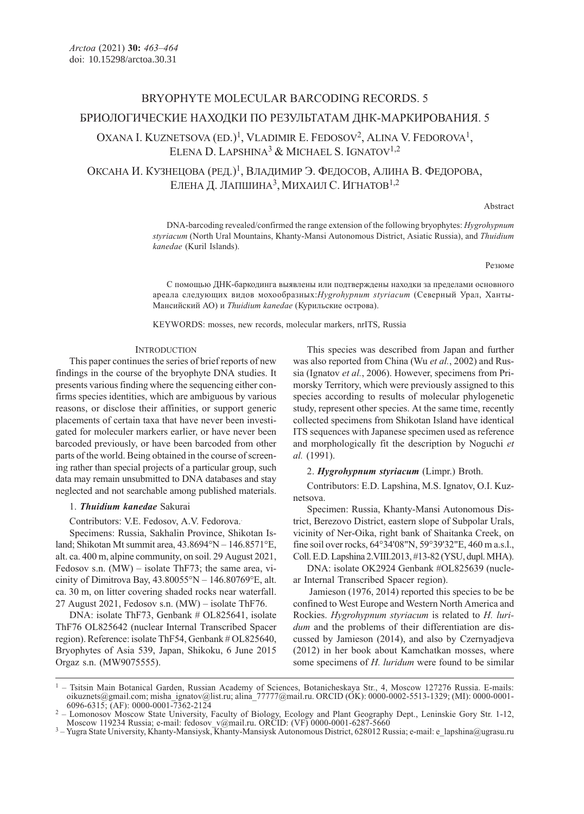# BRYOPHYTE MOLECULAR BARCODING RECORDS. 5 БРИОЛОГИЧЕСКИЕ НАХОДКИ ПО РЕЗУЛЬТАТАМ ДНК-МАРКИРОВАНИЯ. 5

# OXANA I. KUZNETSOVA  $(ED.)^1$ , VLADIMIR E. FEDOSOV<sup>2</sup>, ALINA V. FEDOROVA<sup>1</sup>, ELENA D. LAPSHINA<sup>3</sup> & MICHAEL S. IGNATOV<sup>1,2</sup>

ОКСАНА И. КУЗНЕЦОВА (РЕД.)1, ВЛАДИМИР Э. ФЕДОСОВ, АЛИНА В. ФЕДОРОВА, ЕЛЕНА Д. ЛАПШИНА3,МИХАИЛ С. ИГНАТОВ1,2

Abstract

DNA-barcoding revealed/confirmed the range extension of the following bryophytes: Hygrohypnum styriacum (North Ural Mountains, Khanty-Mansi Autonomous District, Asiatic Russia), and Thuidium kanedae (Kuril Islands).

#### Резюме

С помощью ДНК-баркодинга выявлены или подтверждены находки за пределами основного ареала следующих видов мохообразных:Hygrohypnum styriacum (Северный Урал, Ханты-Мансийский АО) и Thuidium kanedae (Курильские острова).

KEYWORDS: mosses, new records, molecular markers, nrITS, Russia

# **INTRODUCTION**

This paper continues the series of brief reports of new findings in the course of the bryophyte DNA studies. It presents various finding where the sequencing either confirms species identities, which are ambiguous by various reasons, or disclose their affinities, or support generic placements of certain taxa that have never been investigated for moleculer markers earlier, or have never been barcoded previously, or have been barcoded from other parts of the world. Being obtained in the course of screening rather than special projects of a particular group, such data may remain unsubmitted to DNA databases and stay neglected and not searchable among published materials.

### 1. Thuidium kanedae Sakurai

Contributors: V.E. Fedosov, A.V. Fedorova..

Specimens: Russia, Sakhalin Province, Shikotan Island; Shikotan Mt summit area, 43.8694°N – 146.8571°E, alt. ca. 400 m, alpine community, on soil. 29 August 2021, Fedosov s.n.  $(MW)$  – isolate ThF73; the same area, vicinity of Dimitrova Bay,  $43.80055^{\circ}N - 146.80769^{\circ}E$ , alt. ca. 30 m, on litter covering shaded rocks near waterfall. 27 August 2021, Fedosov s.n. (MW) – isolate ThF76.

DNA: isolate ThF73, Genbank # OL825641, isolate ThF76 OL825642 (nuclear Internal Transcribed Spacer region). Reference: isolate ThF54, Genbank # OL825640, Bryophytes of Asia 539, Japan, Shikoku, 6 June 2015 Orgaz s.n. (MW9075555).

This species was described from Japan and further was also reported from China (Wu et al., 2002) and Russia (Ignatov et al., 2006). However, specimens from Primorsky Territory, which were previously assigned to this species according to results of molecular phylogenetic study, represent other species. At the same time, recently collected specimens from Shikotan Island have identical ITS sequences with Japanese specimen used as reference and morphologically fit the description by Noguchi et al. (1991).

2. Hygrohypnum styriacum (Limpr.) Broth.

Contributors: E.D. Lapshina, M.S. Ignatov, O.I. Kuznetsova.

Specimen: Russia, Khanty-Mansi Autonomous District, Berezovo District, eastern slope of Subpolar Urals, vicinity of Ner-Oika, right bank of Shaitanka Creek, on fine soil over rocks, 64°34'08"N, 59°39'32"E, 460 m a.s.l., Coll. E.D. Lapshina 2.VIII.2013, #13-82 (YSU, dupl. MHA).

DNA: isolate OK2924 Genbank #OL825639 (nuclear Internal Transcribed Spacer region).

 Jamieson (1976, 2014) reported this species to be be confined to West Europe and Western North America and Rockies. Hygrohypnum styriacum is related to H. luridum and the problems of their differentiation are discussed by Jamieson (2014), and also by Czernyadjeva (2012) in her book about Kamchatkan mosses, where some specimens of H. luridum were found to be similar

<sup>&</sup>lt;sup>1</sup> – Tsitsin Main Botanical Garden, Russian Academy of Sciences, Botanicheskaya Str., 4, Moscow 127276 Russia. E-mails: oikuznets@gmail.com; misha\_ignatov@list.ru; alina\_77777@mail.ru. ORCID (OK): 0000-0002-5513-1329; (MI): 0000-0001-<br>6096-6315; (AF): 0000-0001-7362-2124

<sup>&</sup>lt;sup>2</sup> - Lomonosov Moscow State University, Faculty of Biology, Ecology and Plant Geography Dept., Leninskie Gory Str. 1-12, Moscow 119234 Russia; e-mail: fedosov\_v@mail.ru. ORCID: (VF) 0000-0001-6287-5660

<sup>&</sup>lt;sup>3</sup> - Yugra State University, Khanty-Mansiysk, Khanty-Mansiysk Autonomous District, 628012 Russia; e-mail: e\_lapshina@ugrasu.ru